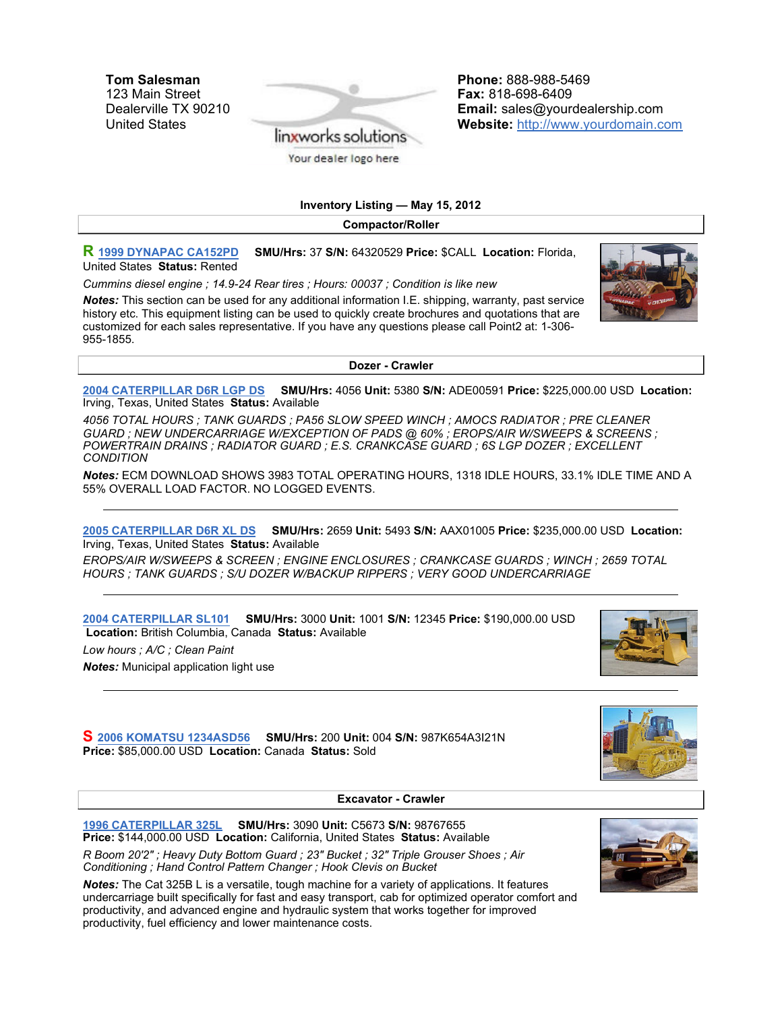Tom Salesman 123 Main Street Dealerville TX 90210 United States



Phone: 888-988-5469 Fax: 818-698-6409 Email: sales@yourdealership.com Website: http://www.yourdomain.com

Inventory Listing — May 15, 2012

Compactor/Roller

R 1999 DYNAPAC CA152PD SMU/Hrs: 37 S/N: 64320529 Price: \$CALL Location: Florida, United States Status: Rented

Cummins diesel engine ; 14.9-24 Rear tires ; Hours: 00037 ; Condition is like new

Notes: This section can be used for any additional information I.E. shipping, warranty, past service history etc. This equipment listing can be used to quickly create brochures and quotations that are customized for each sales representative. If you have any questions please call Point2 at: 1-306- 955-1855.

Dozer - Crawler

2004 CATERPILLAR D6R LGP DS SMU/Hrs: 4056 Unit: 5380 S/N: ADE00591 Price: \$225,000.00 USD Location: Irving, Texas, United States Status: Available

4056 TOTAL HOURS ; TANK GUARDS ; PA56 SLOW SPEED WINCH ; AMOCS RADIATOR ; PRE CLEANER GUARD ; NEW UNDERCARRIAGE W/EXCEPTION OF PADS @ 60% ; EROPS/AIR W/SWEEPS & SCREENS ; POWERTRAIN DRAINS ; RADIATOR GUARD ; E.S. CRANKCASE GUARD ; 6S LGP DOZER ; EXCELLENT **CONDITION** 

Notes: ECM DOWNLOAD SHOWS 3983 TOTAL OPERATING HOURS, 1318 IDLE HOURS, 33.1% IDLE TIME AND A 55% OVERALL LOAD FACTOR. NO LOGGED EVENTS.

2005 CATERPILLAR D6R XL DS SMU/Hrs: 2659 Unit: 5493 S/N: AAX01005 Price: \$235,000.00 USD Location: Irving, Texas, United States Status: Available

EROPS/AIR W/SWEEPS & SCREEN ; ENGINE ENCLOSURES ; CRANKCASE GUARDS ; WINCH ; 2659 TOTAL HOURS ; TANK GUARDS ; S/U DOZER W/BACKUP RIPPERS ; VERY GOOD UNDERCARRIAGE

2004 CATERPILLAR SL101 SMU/Hrs: 3000 Unit: 1001 S/N: 12345 Price: \$190,000.00 USD Location: British Columbia, Canada Status: Available

Low hours ; A/C ; Clean Paint

**Notes:** Municipal application light use

S 2006 KOMATSU 1234ASD56 SMU/Hrs: 200 Unit: 004 S/N: 987K654A3I21N Price: \$85,000.00 USD Location: Canada Status: Sold

Excavator - Crawler

1996 CATERPILLAR 325L SMU/Hrs: 3090 Unit: C5673 S/N: 98767655 Price: \$144,000.00 USD Location: California, United States Status: Available

R Boom 20'2" ; Heavy Duty Bottom Guard ; 23" Bucket ; 32" Triple Grouser Shoes ; Air Conditioning ; Hand Control Pattern Changer ; Hook Clevis on Bucket

Notes: The Cat 325B L is a versatile, tough machine for a variety of applications. It features undercarriage built specifically for fast and easy transport, cab for optimized operator comfort and productivity, and advanced engine and hydraulic system that works together for improved productivity, fuel efficiency and lower maintenance costs.



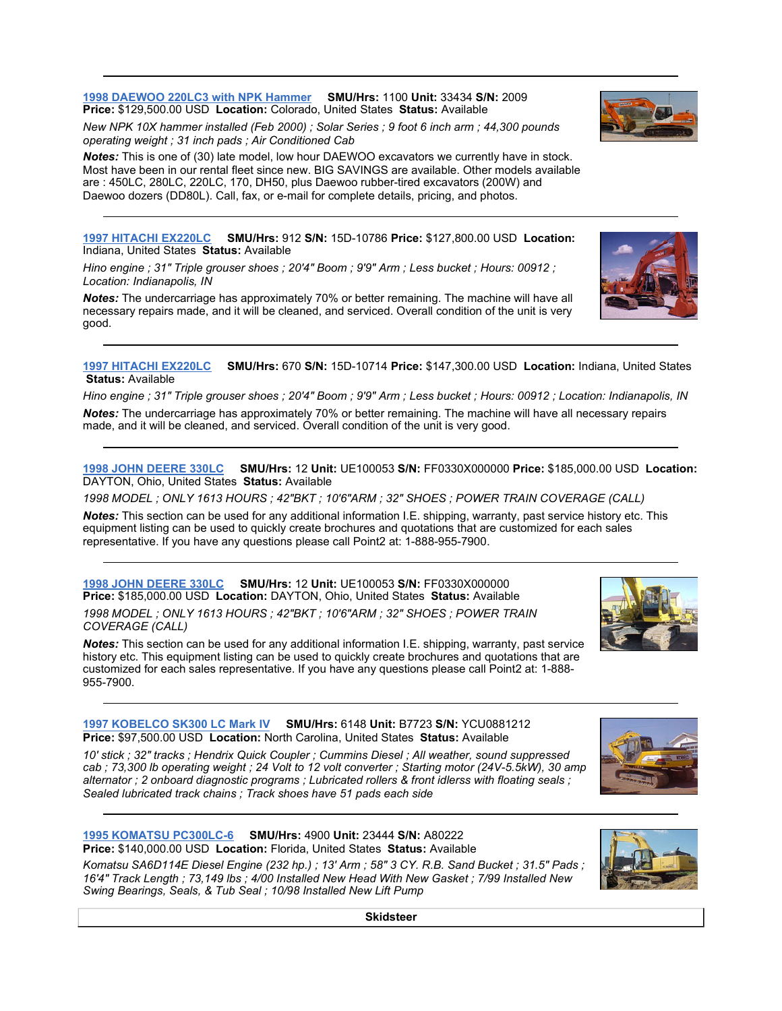**Skidsteer** 

1998 DAEWOO 220LC3 with NPK Hammer SMU/Hrs: 1100 Unit: 33434 S/N: 2009 Price: \$129,500.00 USD Location: Colorado, United States Status: Available

New NPK 10X hammer installed (Feb 2000) ; Solar Series ; 9 foot 6 inch arm ; 44,300 pounds operating weight ; 31 inch pads ; Air Conditioned Cab

Notes: This is one of (30) late model, low hour DAEWOO excavators we currently have in stock. Most have been in our rental fleet since new. BIG SAVINGS are available. Other models available are : 450LC, 280LC, 220LC, 170, DH50, plus Daewoo rubber-tired excavators (200W) and Daewoo dozers (DD80L). Call, fax, or e-mail for complete details, pricing, and photos.

1997 HITACHI EX220LC SMU/Hrs: 912 S/N: 15D-10786 Price: \$127,800.00 USD Location: Indiana, United States Status: Available

Hino engine ; 31" Triple grouser shoes ; 20'4" Boom ; 9'9" Arm ; Less bucket ; Hours: 00912 ; Location: Indianapolis, IN

Notes: The undercarriage has approximately 70% or better remaining. The machine will have all necessary repairs made, and it will be cleaned, and serviced. Overall condition of the unit is very good.

1997 HITACHI EX220LC SMU/Hrs: 670 S/N: 15D-10714 Price: \$147,300.00 USD Location: Indiana, United States Status: Available

Hino engine ; 31" Triple grouser shoes ; 20'4" Boom ; 9'9" Arm ; Less bucket ; Hours: 00912 ; Location: Indianapolis, IN Notes: The undercarriage has approximately 70% or better remaining. The machine will have all necessary repairs made, and it will be cleaned, and serviced. Overall condition of the unit is very good.

1998 JOHN DEERE 330LC SMU/Hrs: 12 Unit: UE100053 S/N: FF0330X000000 Price: \$185,000.00 USD Location: DAYTON, Ohio, United States Status: Available

1998 MODEL ; ONLY 1613 HOURS ; 42"BKT ; 10'6"ARM ; 32" SHOES ; POWER TRAIN COVERAGE (CALL)

Notes: This section can be used for any additional information I.E. shipping, warranty, past service history etc. This equipment listing can be used to quickly create brochures and quotations that are customized for each sales representative. If you have any questions please call Point2 at: 1-888-955-7900.

1998 JOHN DEERE 330LC SMU/Hrs: 12 Unit: UE100053 S/N: FF0330X000000 Price: \$185,000.00 USD Location: DAYTON, Ohio, United States Status: Available 1998 MODEL ; ONLY 1613 HOURS ; 42"BKT ; 10'6"ARM ; 32" SHOES ; POWER TRAIN

COVERAGE (CALL)

Notes: This section can be used for any additional information I.E. shipping, warranty, past service history etc. This equipment listing can be used to quickly create brochures and quotations that are customized for each sales representative. If you have any questions please call Point2 at: 1-888- 955-7900.

1997 KOBELCO SK300 LC Mark IV SMU/Hrs: 6148 Unit: B7723 S/N: YCU0881212 Price: \$97,500.00 USD Location: North Carolina, United States Status: Available

10' stick ; 32" tracks ; Hendrix Quick Coupler ; Cummins Diesel ; All weather, sound suppressed cab ; 73,300 lb operating weight ; 24 Volt to 12 volt converter ; Starting motor (24V-5.5kW), 30 amp alternator ; 2 onboard diagnostic programs ; Lubricated rollers & front idlerss with floating seals ; Sealed lubricated track chains ; Track shoes have 51 pads each side

1995 KOMATSU PC300LC-6 SMU/Hrs: 4900 Unit: 23444 S/N: A80222 Price: \$140,000.00 USD Location: Florida, United States Status: Available

Komatsu SA6D114E Diesel Engine (232 hp.) ; 13' Arm ; 58" 3 CY. R.B. Sand Bucket ; 31.5" Pads ; 16'4" Track Length ; 73,149 lbs ; 4/00 Installed New Head With New Gasket ; 7/99 Installed New Swing Bearings, Seals, & Tub Seal ; 10/98 Installed New Lift Pump